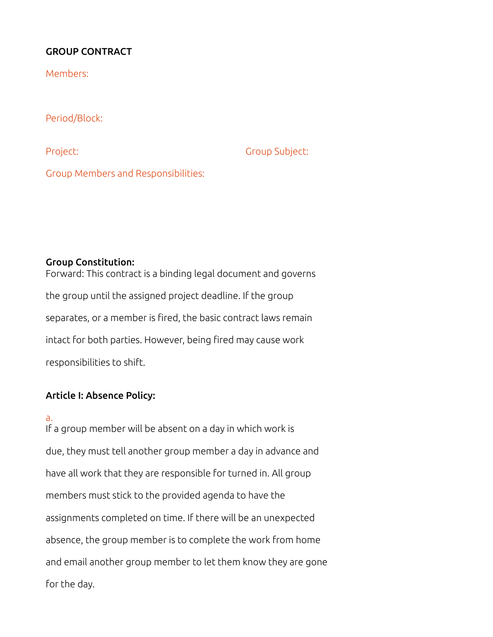## GROUP CONTRACT

Members:

Period/Block:

Project: Group Subject:

Group Members and Responsibilities:

#### Group Constitution:

Forward: This contract is a binding legal document and governs the group until the assigned project deadline. If the group separates, or a member is fired, the basic contract laws remain intact for both parties. However, being fired may cause work responsibilities to shift.

### Article I: Absence Policy:

#### a.

If a group member will be absent on a day in which work is due, they must tell another group member a day in advance and have all work that they are responsible for turned in. All group members must stick to the provided agenda to have the assignments completed on time. If there will be an unexpected absence, the group member is to complete the work from home and email another group member to let them know they are gone for the day.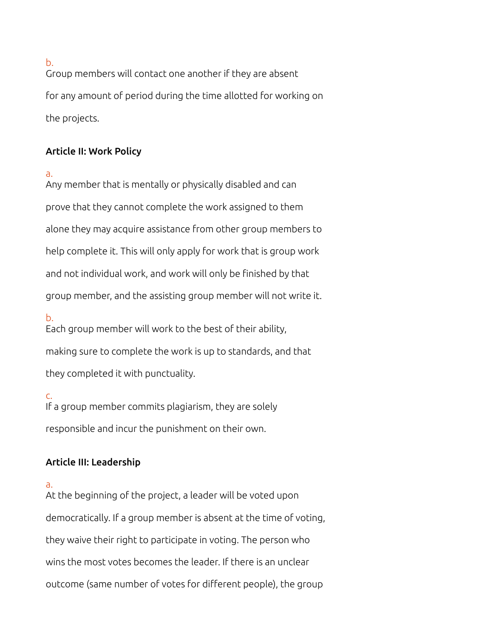b.

Group members will contact one another if they are absent for any amount of period during the time allotted for working on the projects.

### Article II: Work Policy

a.

Any member that is mentally or physically disabled and can prove that they cannot complete the work assigned to them alone they may acquire assistance from other group members to help complete it. This will only apply for work that is group work and not individual work, and work will only be finished by that group member, and the assisting group member will not write it.

b.

Each group member will work to the best of their ability, making sure to complete the work is up to standards, and that they completed it with punctuality.

c. If a group member commits plagiarism, they are solely responsible and incur the punishment on their own.

# Article III: Leadership

a.

At the beginning of the project, a leader will be voted upon democratically. If a group member is absent at the time of voting, they waive their right to participate in voting. The person who wins the most votes becomes the leader. If there is an unclear outcome (same number of votes for different people), the group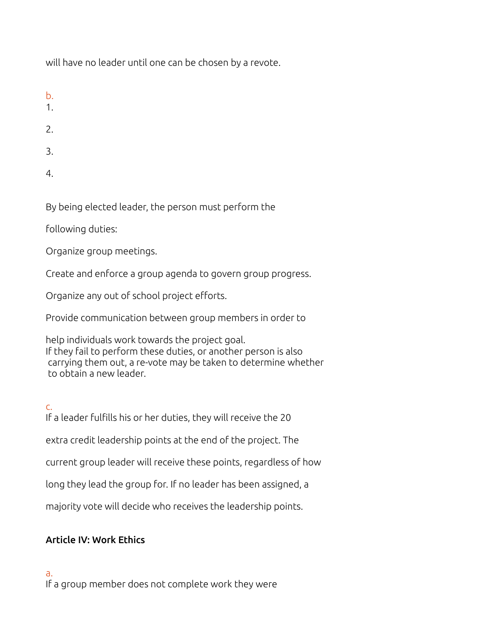will have no leader until one can be chosen by a revote.

- b.
- 1.
- 2.
- 3.
- 4.

By being elected leader, the person must perform the

following duties:

Organize group meetings.

Create and enforce a group agenda to govern group progress.

Organize any out of school project efforts.

Provide communication between group members in order to

help individuals work towards the project goal. If they fail to perform these duties, or another person is also carrying them out, a re-vote may be taken to determine whether to obtain a new leader.

# c.

If a leader fulfills his or her duties, they will receive the 20

extra credit leadership points at the end of the project. The

current group leader will receive these points, regardless of how

long they lead the group for. If no leader has been assigned, a

majority vote will decide who receives the leadership points.

# Article IV: Work Ethics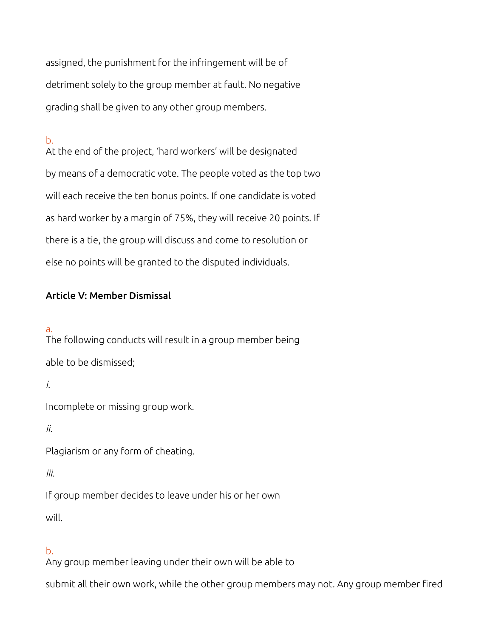assigned, the punishment for the infringement will be of detriment solely to the group member at fault. No negative grading shall be given to any other group members.

### b.

At the end of the project, 'hard workers' will be designated by means of a democratic vote. The people voted as the top two will each receive the ten bonus points. If one candidate is voted as hard worker by a margin of 75%, they will receive 20 points. If there is a tie, the group will discuss and come to resolution or else no points will be granted to the disputed individuals.

### Article V: Member Dismissal

#### a.

The following conducts will result in a group member being able to be dismissed;

*i.*

Incomplete or missing group work.

*ii.*

Plagiarism or any form of cheating.

*iii.*

If group member decides to leave under his or her own will.

# b.

Any group member leaving under their own will be able to

submit all their own work, while the other group members may not. Any group member fired